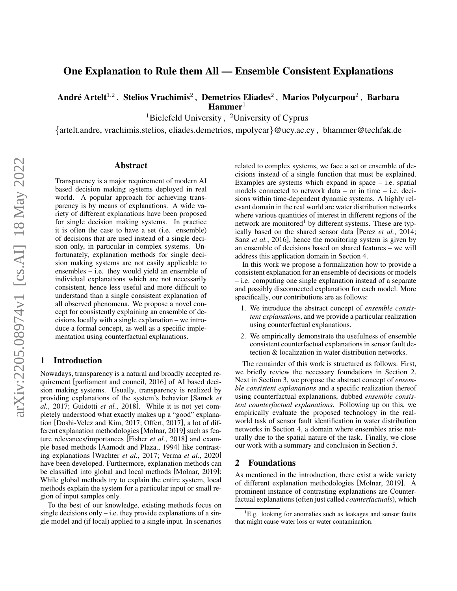# One Explanation to Rule them All — Ensemble Consistent Explanations

André Artelt $^{1,2}$  , Stelios Vrachimis $^2$  , Demetrios Eliades $^2$  , Marios Polycarpou $^2$  , Barbara  $$ 

<sup>1</sup>Bielefeld University, <sup>2</sup>University of Cyprus

{artelt.andre, vrachimis.stelios, eliades.demetrios, mpolycar}@ucy.ac.cy , bhammer@techfak.de

### Abstract

Transparency is a major requirement of modern AI based decision making systems deployed in real world. A popular approach for achieving transparency is by means of explanations. A wide variety of different explanations have been proposed for single decision making systems. In practice it is often the case to have a set (i.e. ensemble) of decisions that are used instead of a single decision only, in particular in complex systems. Unfortunately, explanation methods for single decision making systems are not easily applicable to ensembles – i.e. they would yield an ensemble of individual explanations which are not necessarily consistent, hence less useful and more difficult to understand than a single consistent explanation of all observed phenomena. We propose a novel concept for consistently explaining an ensemble of decisions locally with a single explanation – we introduce a formal concept, as well as a specific implementation using counterfactual explanations.

## 1 Introduction

Nowadays, transparency is a natural and broadly accepted requirement [\[parliament and council, 2016\]](#page-4-0) of AI based decision making systems. Usually, transparency is realized by providing explanations of the system's behavior [\[Samek](#page-4-1) *et al.*[, 2017;](#page-4-1) [Guidotti](#page-4-2) *et al.*, 2018]. While it is not yet completely understood what exactly makes up a "good" explanation [\[Doshi-Velez and Kim, 2017;](#page-4-3) [Offert, 2017\]](#page-4-4), a lot of different explanation methodologies [\[Molnar, 2019\]](#page-4-5) such as feature relevances/importances [Fisher *et al.*[, 2018\]](#page-4-6) and example based methods [\[Aamodt and Plaza., 1994\]](#page-4-7) like contrasting explanations [\[Wachter](#page-4-8) *et al.*, 2017; Verma *et al.*[, 2020\]](#page-4-9) have been developed. Furthermore, explanation methods can be classified into global and local methods [\[Molnar, 2019\]](#page-4-5): While global methods try to explain the entire system, local methods explain the system for a particular input or small region of input samples only.

To the best of our knowledge, existing methods focus on single decisions only  $-$  i.e. they provide explanations of a single model and (if local) applied to a single input. In scenarios related to complex systems, we face a set or ensemble of decisions instead of a single function that must be explained. Examples are systems which expand in space  $-$  i.e. spatial models connected to network data – or in time – i.e. decisions within time-dependent dynamic systems. A highly relevant domain in the real world are water distribution networks where various quantities of interest in different regions of the network are monitored<sup>[1](#page-0-0)</sup> by different systems. These are typically based on the shared sensor data [Perez *et al.*[, 2014;](#page-4-10) Sanz *et al.*[, 2016\]](#page-4-11), hence the monitoring system is given by an ensemble of decisions based on shared features – we will address this application domain in Section [4.](#page-2-0)

In this work we propose a formalization how to provide a consistent explanation for an ensemble of decisions or models – i.e. computing one single explanation instead of a separate and possibly disconnected explanation for each model. More specifically, our contributions are as follows:

- 1. We introduce the abstract concept of *ensemble consistent explanations*, and we provide a particular realization using counterfactual explanations.
- 2. We empirically demonstrate the usefulness of ensemble consistent counterfactual explanations in sensor fault detection & localization in water distribution networks.

The remainder of this work is structured as follows: First, we briefly review the necessary foundations in Section [2.](#page-0-1) Next in Section [3,](#page-1-0) we propose the abstract concept of *ensemble consistent explanations* and a specific realization thereof using counterfactual explanations, dubbed *ensemble consistent counterfactual explanations*. Following up on this, we empirically evaluate the proposed technology in the realworld task of sensor fault identification in water distribution networks in Section [4,](#page-2-0) a domain where ensembles arise naturally due to the spatial nature of the task. Finally, we close our work with a summary and conclusion in Section [5.](#page-3-0)

## <span id="page-0-1"></span>2 Foundations

As mentioned in the introduction, there exist a wide variety of different explanation methodologies [\[Molnar, 2019\]](#page-4-5). A prominent instance of contrasting explanations are Counterfactual explanations (often just called *counterfactuals*), which

<span id="page-0-0"></span><sup>&</sup>lt;sup>1</sup>E.g. looking for anomalies such as leakages and sensor faults that might cause water loss or water contamination.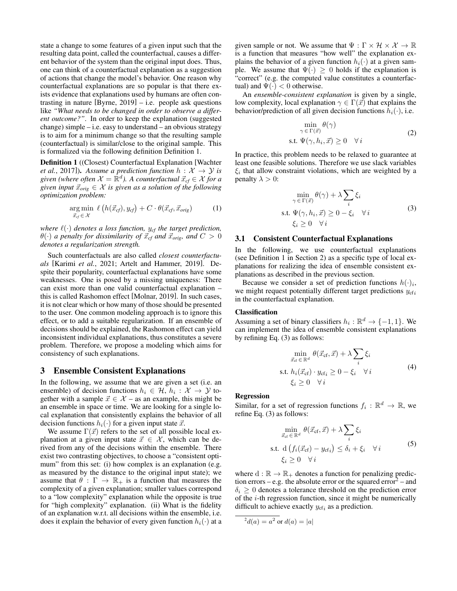state a change to some features of a given input such that the resulting data point, called the counterfactual, causes a different behavior of the system than the original input does. Thus, one can think of a counterfactual explanation as a suggestion of actions that change the model's behavior. One reason why counterfactual explanations are so popular is that there exists evidence that explanations used by humans are often contrasting in nature [Byrne,  $2019$ ] – i.e. people ask questions like *"What needs to be changed in order to observe a different outcome?"*. In order to keep the explanation (suggested change) simple  $-$  i.e. easy to understand  $-$  an obvious strategy is to aim for a minimum change so that the resulting sample (counterfactual) is similar/close to the original sample. This is formalized via the following definition Definition [1.](#page-1-1)

<span id="page-1-1"></span>Definition 1 ((Closest) Counterfactual Explanation [\[Wachter](#page-4-8) *et al.*[, 2017\]](#page-4-8)). Assume a prediction function  $h: \mathcal{X} \rightarrow \mathcal{Y}$  is  $given$  (where often  $\mathcal{X} = \mathbb{R}^d$ ). A counterfactual  $\vec{x}_{cf} \in \mathcal{X}$  for a *given input*  $\vec{x}_{orig} \in \mathcal{X}$  *is given as a solution of the following optimization problem:*

$$
\underset{\vec{x}_f \in \mathcal{X}}{\arg \min} \ell(h(\vec{x}_{cf}), y_{cf}) + C \cdot \theta(\vec{x}_{cf}, \vec{x}_{orig}) \tag{1}
$$

*where*  $\ell(\cdot)$  *denotes a loss function,*  $y_{cf}$  *the target prediction,*  $\theta(\cdot)$  *a penalty for dissimilarity of*  $\vec{x}_{cf}$  *and*  $\vec{x}_{orig}$ *, and*  $C > 0$ *denotes a regularization strength.*

Such counterfactuals are also called *closest counterfactuals* [\[Karimi](#page-4-13) *et al.*, 2021; [Artelt and Hammer, 2019\]](#page-4-14). Despite their popularity, counterfactual explanations have some weaknesses. One is posed by a missing uniqueness: There can exist more than one valid counterfactual explanation – this is called Rashomon effect [\[Molnar, 2019\]](#page-4-5). In such cases, it is not clear which or how many of those should be presented to the user. One common modeling approach is to ignore this effect, or to add a suitable regularization. If an ensemble of decisions should be explained, the Rashomon effect can yield inconsistent individual explanations, thus constitutes a severe problem. Therefore, we propose a modeling which aims for consistency of such explanations.

### <span id="page-1-0"></span>3 Ensemble Consistent Explanations

In the following, we assume that we are given a set (i.e. an ensemble) of decision functions  $h_i \in \mathcal{H}$ ,  $h_i : \mathcal{X} \to \mathcal{Y}$  together with a sample  $\vec{x} \in \mathcal{X}$  – as an example, this might be an ensemble in space or time. We are looking for a single local explanation that consistently explains the behavior of all decision functions  $h_i(\cdot)$  for a given input state  $\vec{x}$ .

We assume  $\Gamma(\vec{x})$  refers to the set of all possible local explanation at a given input state  $\vec{x} \in \mathcal{X}$ , which can be derived from any of the decisions within the ensemble. There exist two contrasting objectives, to choose a "consistent optimum" from this set: (i) how complex is an explanation (e.g. as measured by the distance to the original input state); we assume that  $\theta : \Gamma \to \mathbb{R}_+$  is a function that measures the complexity of a given explanation; smaller values correspond to a "low complexity" explanation while the opposite is true for "high complexity" explanation. (ii) What is the fidelity of an explanation w.r.t. all decisions within the ensemble, i.e. does it explain the behavior of every given function  $h_i(\cdot)$  at a given sample or not. We assume that  $\Psi : \Gamma \times \mathcal{H} \times \mathcal{X} \to \mathbb{R}$ is a function that measures "how well" the explanation explains the behavior of a given function  $h_i(\cdot)$  at a given sample. We assume that  $\Psi(\cdot) \geq 0$  holds if the explanation is "correct" (e.g. the computed value constitutes a counterfactual) and  $\Psi(\cdot) < 0$  otherwise.

An *ensemble-consistent explanation* is given by a single, low complexity, local explanation  $\gamma \in \Gamma(\vec{x})$  that explains the behavior/prediction of all given decision functions  $h_i(\cdot)$ , i.e.

$$
\min_{\gamma \in \Gamma(\vec{x})} \theta(\gamma)
$$
  
s.t.  $\Psi(\gamma, h_i, \vec{x}) \ge 0 \quad \forall i$  (2)

In practice, this problem needs to be relaxed to guarantee at least one feasible solutions. Therefore we use slack variables  $\xi_i$  that allow constraint violations, which are weighted by a penalty  $\lambda > 0$ :

<span id="page-1-2"></span>
$$
\min_{\gamma \in \Gamma(\vec{x})} \theta(\gamma) + \lambda \sum_{i} \xi_{i}
$$
\ns.t.  $\Psi(\gamma, h_{i}, \vec{x}) \ge 0 - \xi_{i} \quad \forall i$ \n
$$
\xi_{i} \ge 0 \quad \forall i
$$
\n(3)

#### 3.1 Consistent Counterfactual Explanations

In the following, we use counterfactual explanations (see Definition [1](#page-1-1) in Section [2\)](#page-0-1) as a specific type of local explanations for realizing the idea of ensemble consistent explanations as described in the previous section.

Because we consider a set of prediction functions  $h(\cdot)_i$ , we might request potentially different target predictions  $y_{cf_i}$ in the counterfactual explanation.

#### Classification

Assuming a set of binary classifiers  $h_i : \mathbb{R}^d \to \{-1, 1\}$ . We can implement the idea of ensemble consistent explanations by refining Eq. [\(3\)](#page-1-2) as follows:

$$
\min_{\vec{x}_{\text{cf}} \in \mathbb{R}^d} \theta(\vec{x}_{\text{cf}}, \vec{x}) + \lambda \sum_{i} \xi_i
$$
\ns.t.  $h_i(\vec{x}_{\text{cf}}) \cdot y_{\text{cf}_i} \ge 0 - \xi_i \quad \forall i$  (4)\n
$$
\xi_i \ge 0 \quad \forall i
$$

#### Regression

Similar, for a set of regression functions  $f_i : \mathbb{R}^d \to \mathbb{R}$ , we refine Eq. [\(3\)](#page-1-2) as follows:

<span id="page-1-4"></span>
$$
\min_{\vec{x}_{\text{cf}} \in \mathbb{R}^d} \theta(\vec{x}_{\text{cf}}, \vec{x}) + \lambda \sum_{i} \xi_i
$$
\n
$$
\text{s.t. } d \left( f_i(\vec{x}_{\text{cf}}) - y_{\text{cf}_i} \right) \le \delta_i + \xi_i \quad \forall i
$$
\n
$$
\xi_i \ge 0 \quad \forall i
$$
\n
$$
(5)
$$

where  $d : \mathbb{R} \to \mathbb{R}_+$  denotes a function for penalizing predic-tion errors – e.g. the absolute error or the squared error<sup>[2](#page-1-3)</sup> – and  $\delta_i \geq 0$  denotes a tolerance threshold on the prediction error of the i-th regression function, since it might be numerically difficult to achieve exactly  $y_{cf_i}$  as a prediction.

<span id="page-1-3"></span>
$$
^2d(a) = a^2 \text{ or } d(a) = |a|
$$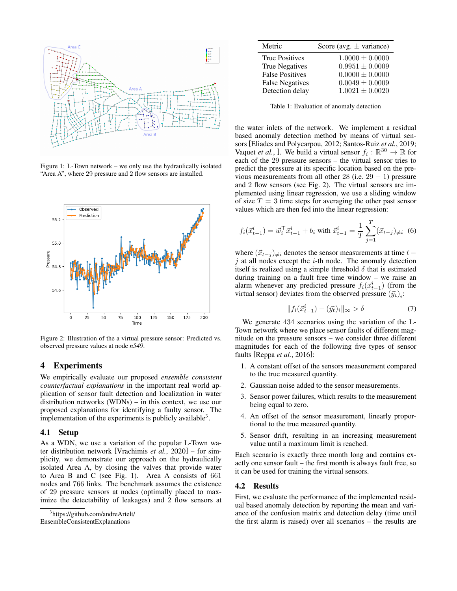<span id="page-2-2"></span>

Figure 1: L-Town network – we only use the hydraulically isolated "Area A", where 29 pressure and 2 flow sensors are installed.

<span id="page-2-3"></span>

Figure 2: Illustration of the a virtual pressure sensor: Predicted vs. observed pressure values at node *n549*.

### <span id="page-2-0"></span>4 Experiments

We empirically evaluate our proposed *ensemble consistent counterfactual explanations* in the important real world application of sensor fault detection and localization in water distribution networks (WDNs) – in this context, we use our proposed explanations for identifying a faulty sensor. The implementation of the experiments is publicly available<sup>[3](#page-2-1)</sup>.

#### 4.1 Setup

As a WDN, we use a variation of the popular L-Town water distribution network [\[Vrachimis](#page-4-15) *et al.*, 2020] – for simplicity, we demonstrate our approach on the hydraulically isolated Area A, by closing the valves that provide water to Area B and C (see Fig. [1\)](#page-2-2). Area A consists of 661 nodes and 766 links. The benchmark assumes the existence of 29 pressure sensors at nodes (optimally placed to maximize the detectability of leakages) and 2 flow sensors at

[EnsembleConsistentExplanations](https://github.com/andreArtelt/EnsembleConsistentExplanations)

<span id="page-2-4"></span>

| Metric                 | Score (avg. $\pm$ variance) |
|------------------------|-----------------------------|
| <b>True Positives</b>  | $1.0000 \pm 0.0000$         |
| <b>True Negatives</b>  | $0.9951 \pm 0.0009$         |
| <b>False Positives</b> | $0.0000 \pm 0.0000$         |
| <b>False Negatives</b> | $0.0049 \pm 0.0009$         |
| Detection delay        | $1.0021 \pm 0.0020$         |
|                        |                             |

Table 1: Evaluation of anomaly detection

the water inlets of the network. We implement a residual based anomaly detection method by means of virtual sensors [\[Eliades and Polycarpou, 2012;](#page-4-16) [Santos-Ruiz](#page-4-17) *et al.*, 2019; [Vaquet](#page-4-18) *et al.*, ]. We build a virtual sensor  $f_i : \mathbb{R}^{30} \to \mathbb{R}$  for each of the 29 pressure sensors – the virtual sensor tries to predict the pressure at its specific location based on the previous measurements from all other 28 (i.e.  $29 - 1$ ) pressure and 2 flow sensors (see Fig. [2\)](#page-2-3). The virtual sensors are implemented using linear regression, we use a sliding window of size  $T = 3$  time steps for averaging the other past sensor values which are then fed into the linear regression:

$$
f_i(\vec{x}_{t-1}^i) = \vec{w}_i^\top \vec{x}_{t-1}^i + b_i \text{ with } \vec{x}_{t-1}^i = \frac{1}{T} \sum_{j=1}^T (\vec{x}_{t-j})_{\neq i} \tag{6}
$$

where  $(\vec{x}_{t-j})_{\neq i}$  denotes the sensor measurements at time  $t$  −  $j$  at all nodes except the  $i$ -th node. The anomaly detection itself is realized using a simple threshold  $\delta$  that is estimated during training on a fault free time window – we raise an alarm whenever any predicted pressure  $f_i(\vec{x}_{t-1}^i)$  (from the virtual sensor) deviates from the observed pressure  $(\vec{y}_t)_i$ :

$$
||f_i(\vec{x}_{t-1}^i) - (\vec{y}_t)_i||_{\infty} > \delta \tag{7}
$$

We generate 434 scenarios using the variation of the L-Town network where we place sensor faults of different magnitude on the pressure sensors – we consider three different magnitudes for each of the following five types of sensor faults [\[Reppa](#page-4-19) *et al.*, 2016]:

- 1. A constant offset of the sensors measurement compared to the true measured quantity.
- 2. Gaussian noise added to the sensor measurements.
- 3. Sensor power failures, which results to the measurement being equal to zero.
- 4. An offset of the sensor measurement, linearly proportional to the true measured quantity.
- 5. Sensor drift, resulting in an increasing measurement value until a maximum limit is reached.

Each scenario is exactly three month long and contains exactly one sensor fault – the first month is always fault free, so it can be used for training the virtual sensors.

#### 4.2 Results

First, we evaluate the performance of the implemented residual based anomaly detection by reporting the mean and variance of the confusion matrix and detection delay (time until the first alarm is raised) over all scenarios – the results are

<span id="page-2-1"></span><sup>3</sup> [https://github.com/andreArtelt/](https://github.com/andreArtelt/EnsembleConsistentExplanations)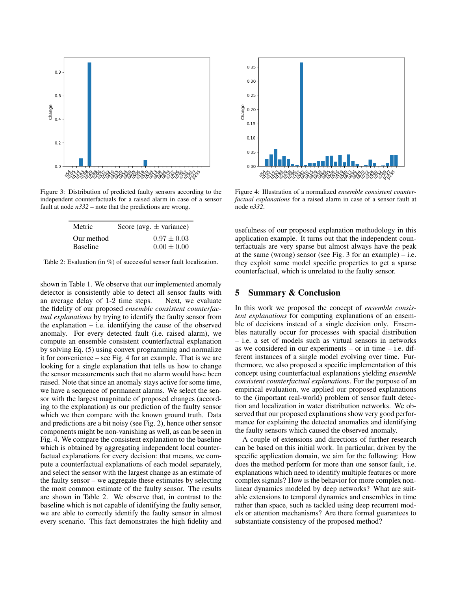<span id="page-3-3"></span>

<span id="page-3-2"></span>Figure 3: Distribution of predicted faulty sensors according to the independent counterfactuals for a raised alarm in case of a sensor fault at node *n332* – note that the predictions are wrong.

| Metric          | Score (avg. $\pm$ variance) |
|-----------------|-----------------------------|
| Our method      | $0.97 \pm 0.03$             |
| <b>Baseline</b> | $0.00 \pm 0.00$             |

Table 2: Evaluation (in %) of successful sensor fault localization.

shown in Table [1.](#page-2-4) We observe that our implemented anomaly detector is consistently able to detect all sensor faults with an average delay of 1-2 time steps. Next, we evaluate the fidelity of our proposed *ensemble consistent counterfactual explanations* by trying to identify the faulty sensor from the explanation – i.e. identifying the cause of the observed anomaly. For every detected fault (i.e. raised alarm), we compute an ensemble consistent counterfactual explanation by solving Eq. [\(5\)](#page-1-4) using convex programming and normalize it for convenience – see Fig. [4](#page-3-1) for an example. That is we are looking for a single explanation that tells us how to change the sensor measurements such that no alarm would have been raised. Note that since an anomaly stays active for some time, we have a sequence of permanent alarms. We select the sensor with the largest magnitude of proposed changes (according to the explanation) as our prediction of the faulty sensor which we then compare with the known ground truth. Data and predictions are a bit noisy (see Fig. [2\)](#page-2-3), hence other sensor components might be non-vanishing as well, as can be seen in Fig. [4.](#page-3-1) We compare the consistent explanation to the baseline which is obtained by aggregating independent local counterfactual explanations for every decision: that means, we compute a counterfactual explanations of each model separately, and select the sensor with the largest change as an estimate of the faulty sensor – we aggregate these estimates by selecting the most common estimate of the faulty sensor. The results are shown in Table [2.](#page-3-2) We observe that, in contrast to the baseline which is not capable of identifying the faulty sensor, we are able to correctly identify the faulty sensor in almost every scenario. This fact demonstrates the high fidelity and

<span id="page-3-1"></span>

Figure 4: Illustration of a normalized *ensemble consistent counterfactual explanations* for a raised alarm in case of a sensor fault at node *n332*.

usefulness of our proposed explanation methodology in this application example. It turns out that the independent counterfactuals are very sparse but almost always have the peak at the same (wrong) sensor (see Fig.  $3$  for an example) – i.e. they exploit some model specific properties to get a sparse counterfactual, which is unrelated to the faulty sensor.

### <span id="page-3-0"></span>5 Summary & Conclusion

In this work we proposed the concept of *ensemble consistent explanations* for computing explanations of an ensemble of decisions instead of a single decision only. Ensembles naturally occur for processes with spacial distribution – i.e. a set of models such as virtual sensors in networks as we considered in our experiments – or in time  $-$  i.e. different instances of a single model evolving over time. Furthermore, we also proposed a specific implementation of this concept using counterfactual explanations yielding *ensemble consistent counterfactual explanations*. For the purpose of an empirical evaluation, we applied our proposed explanations to the (important real-world) problem of sensor fault detection and localization in water distribution networks. We observed that our proposed explanations show very good performance for explaining the detected anomalies and identifying the faulty sensors which caused the observed anomaly.

A couple of extensions and directions of further research can be based on this initial work. In particular, driven by the specific application domain, we aim for the following: How does the method perform for more than one sensor fault, i.e. explanations which need to identify multiple features or more complex signals? How is the behavior for more complex nonlinear dynamics modeled by deep networks? What are suitable extensions to temporal dynamics and ensembles in time rather than space, such as tackled using deep recurrent models or attention mechanisms? Are there formal guarantees to substantiate consistency of the proposed method?